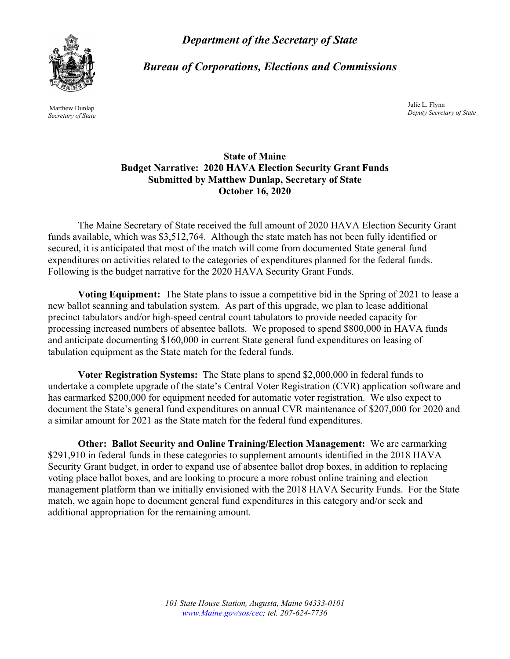*Department of the Secretary of State* 

*Bureau of Corporations, Elections and Commissions* 



Julie L. Flynn Matthew Dunlap *Deputy Secretary of State Secretary of State* 

## **State of Maine Budget Narrative: 2020 HAVA Election Security Grant Funds Submitted by Matthew Dunlap, Secretary of State October 16, 2020**

The Maine Secretary of State received the full amount of 2020 HAVA Election Security Grant funds available, which was \$3,512,764. Although the state match has not been fully identified or secured, it is anticipated that most of the match will come from documented State general fund expenditures on activities related to the categories of expenditures planned for the federal funds. Following is the budget narrative for the 2020 HAVA Security Grant Funds.

**Voting Equipment:** The State plans to issue a competitive bid in the Spring of 2021 to lease a new ballot scanning and tabulation system. As part of this upgrade, we plan to lease additional precinct tabulators and/or high-speed central count tabulators to provide needed capacity for processing increased numbers of absentee ballots. We proposed to spend \$800,000 in HAVA funds and anticipate documenting \$160,000 in current State general fund expenditures on leasing of tabulation equipment as the State match for the federal funds.

**Voter Registration Systems:** The State plans to spend \$2,000,000 in federal funds to undertake a complete upgrade of the state's Central Voter Registration (CVR) application software and has earmarked \$200,000 for equipment needed for automatic voter registration. We also expect to document the State's general fund expenditures on annual CVR maintenance of \$207,000 for 2020 and a similar amount for 2021 as the State match for the federal fund expenditures.

**Other: Ballot Security and Online Training/Election Management:** We are earmarking \$291,910 in federal funds in these categories to supplement amounts identified in the 2018 HAVA Security Grant budget, in order to expand use of absentee ballot drop boxes, in addition to replacing voting place ballot boxes, and are looking to procure a more robust online training and election management platform than we initially envisioned with the 2018 HAVA Security Funds. For the State match, we again hope to document general fund expenditures in this category and/or seek and additional appropriation for the remaining amount.